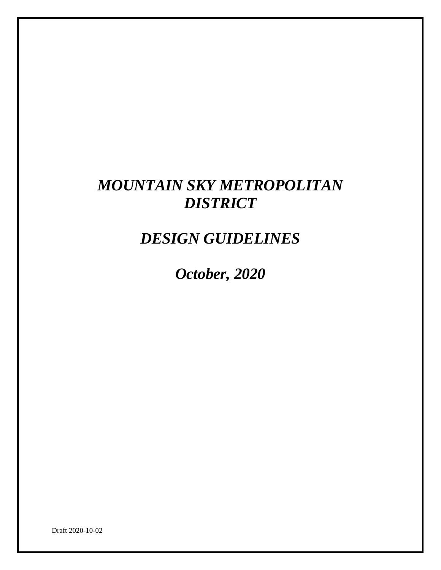# *MOUNTAIN SKY METROPOLITAN DISTRICT*

*DESIGN GUIDELINES*

*October, 2020*

Draft 2020-10-02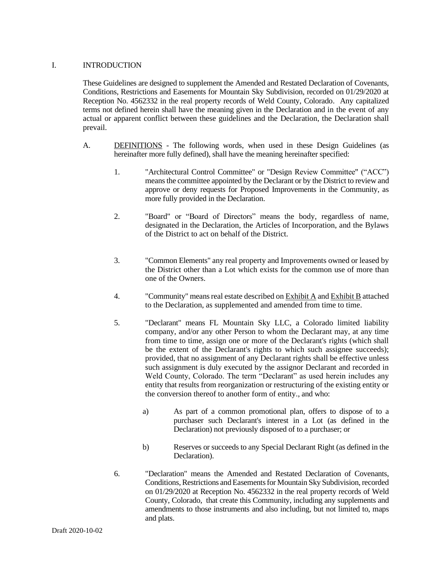#### I. INTRODUCTION

These Guidelines are designed to supplement the Amended and Restated Declaration of Covenants, Conditions, Restrictions and Easements for Mountain Sky Subdivision, recorded on 01/29/2020 at Reception No. 4562332 in the real property records of Weld County, Colorado. Any capitalized terms not defined herein shall have the meaning given in the Declaration and in the event of any actual or apparent conflict between these guidelines and the Declaration, the Declaration shall prevail.

- A. DEFINITIONS The following words, when used in these Design Guidelines (as hereinafter more fully defined), shall have the meaning hereinafter specified:
	- 1. "Architectural Control Committee" or "Design Review Committee" ("ACC") means the committee appointed by the Declarant or by the District to review and approve or deny requests for Proposed Improvements in the Community, as more fully provided in the Declaration.
	- 2. "Board" or "Board of Directors" means the body, regardless of name, designated in the Declaration, the Articles of Incorporation, and the Bylaws of the District to act on behalf of the District.
	- 3. "Common Elements" any real property and Improvements owned or leased by the District other than a Lot which exists for the common use of more than one of the Owners.
	- 4. "Community" means real estate described on Exhibit A and Exhibit B attached to the Declaration, as supplemented and amended from time to time.
	- 5. "Declarant" means FL Mountain Sky LLC, a Colorado limited liability company, and/or any other Person to whom the Declarant may, at any time from time to time, assign one or more of the Declarant's rights (which shall be the extent of the Declarant's rights to which such assignee succeeds); provided, that no assignment of any Declarant rights shall be effective unless such assignment is duly executed by the assignor Declarant and recorded in Weld County, Colorado. The term "Declarant" as used herein includes any entity that results from reorganization or restructuring of the existing entity or the conversion thereof to another form of entity., and who:
		- a) As part of a common promotional plan, offers to dispose of to a purchaser such Declarant's interest in a Lot (as defined in the Declaration) not previously disposed of to a purchaser; or
		- b) Reserves or succeeds to any Special Declarant Right (as defined in the Declaration).
	- 6. "Declaration" means the Amended and Restated Declaration of Covenants, Conditions, Restrictions and Easements for Mountain Sky Subdivision, recorded on 01/29/2020 at Reception No. 4562332 in the real property records of Weld County, Colorado, that create this Community, including any supplements and amendments to those instruments and also including, but not limited to, maps and plats.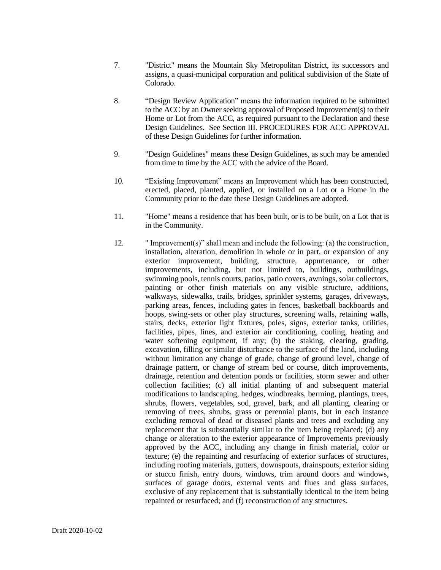- 7. "District" means the Mountain Sky Metropolitan District, its successors and assigns, a quasi-municipal corporation and political subdivision of the State of Colorado.
- 8. "Design Review Application" means the information required to be submitted to the ACC by an Owner seeking approval of Proposed Improvement(s) to their Home or Lot from the ACC, as required pursuant to the Declaration and these Design Guidelines. See Section III. PROCEDURES FOR ACC APPROVAL of these Design Guidelines for further information.
- 9. "Design Guidelines" means these Design Guidelines, as such may be amended from time to time by the ACC with the advice of the Board.
- 10. "Existing Improvement" means an Improvement which has been constructed, erected, placed, planted, applied, or installed on a Lot or a Home in the Community prior to the date these Design Guidelines are adopted.
- 11. "Home" means a residence that has been built, or is to be built, on a Lot that is in the Community.
- 12. " Improvement(s)" shall mean and include the following: (a) the construction, installation, alteration, demolition in whole or in part, or expansion of any exterior improvement, building, structure, appurtenance, or other improvements, including, but not limited to, buildings, outbuildings, swimming pools, tennis courts, patios, patio covers, awnings, solar collectors, painting or other finish materials on any visible structure, additions, walkways, sidewalks, trails, bridges, sprinkler systems, garages, driveways, parking areas, fences, including gates in fences, basketball backboards and hoops, swing-sets or other play structures, screening walls, retaining walls, stairs, decks, exterior light fixtures, poles, signs, exterior tanks, utilities, facilities, pipes, lines, and exterior air conditioning, cooling, heating and water softening equipment, if any; (b) the staking, clearing, grading, excavation, filling or similar disturbance to the surface of the land, including without limitation any change of grade, change of ground level, change of drainage pattern, or change of stream bed or course, ditch improvements, drainage, retention and detention ponds or facilities, storm sewer and other collection facilities; (c) all initial planting of and subsequent material modifications to landscaping, hedges, windbreaks, berming, plantings, trees, shrubs, flowers, vegetables, sod, gravel, bark, and all planting, clearing or removing of trees, shrubs, grass or perennial plants, but in each instance excluding removal of dead or diseased plants and trees and excluding any replacement that is substantially similar to the item being replaced; (d) any change or alteration to the exterior appearance of Improvements previously approved by the ACC, including any change in finish material, color or texture; (e) the repainting and resurfacing of exterior surfaces of structures, including roofing materials, gutters, downspouts, drainspouts, exterior siding or stucco finish, entry doors, windows, trim around doors and windows, surfaces of garage doors, external vents and flues and glass surfaces, exclusive of any replacement that is substantially identical to the item being repainted or resurfaced; and (f) reconstruction of any structures.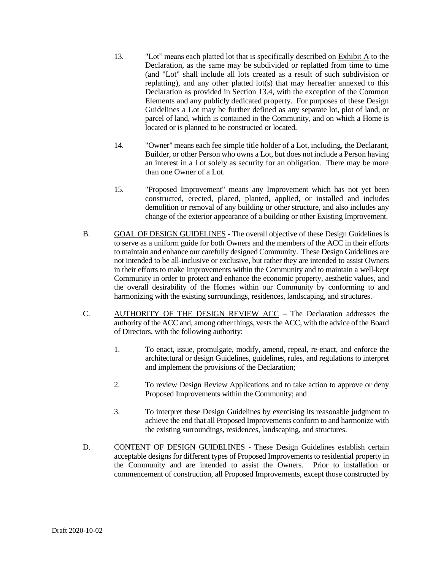- 13. "Lot" means each platted lot that is specifically described on Exhibit A to the Declaration, as the same may be subdivided or replatted from time to time (and "Lot" shall include all lots created as a result of such subdivision or replatting), and any other platted lot(s) that may hereafter annexed to this Declaration as provided in Section 13.4, with the exception of the Common Elements and any publicly dedicated property. For purposes of these Design Guidelines a Lot may be further defined as any separate lot, plot of land, or parcel of land, which is contained in the Community, and on which a Home is located or is planned to be constructed or located.
- 14. "Owner" means each fee simple title holder of a Lot, including, the Declarant, Builder, or other Person who owns a Lot, but does not include a Person having an interest in a Lot solely as security for an obligation. There may be more than one Owner of a Lot.
- 15. "Proposed Improvement" means any Improvement which has not yet been constructed, erected, placed, planted, applied, or installed and includes demolition or removal of any building or other structure, and also includes any change of the exterior appearance of a building or other Existing Improvement.
- B. GOAL OF DESIGN GUIDELINES The overall objective of these Design Guidelines is to serve as a uniform guide for both Owners and the members of the ACC in their efforts to maintain and enhance our carefully designed Community. These Design Guidelines are not intended to be all-inclusive or exclusive, but rather they are intended to assist Owners in their efforts to make Improvements within the Community and to maintain a well-kept Community in order to protect and enhance the economic property, aesthetic values, and the overall desirability of the Homes within our Community by conforming to and harmonizing with the existing surroundings, residences, landscaping, and structures.
- C. AUTHORITY OF THE DESIGN REVIEW ACC The Declaration addresses the authority of the ACC and, among other things, vests the ACC, with the advice of the Board of Directors, with the following authority:
	- 1. To enact, issue, promulgate, modify, amend, repeal, re-enact, and enforce the architectural or design Guidelines, guidelines, rules, and regulations to interpret and implement the provisions of the Declaration;
	- 2. To review Design Review Applications and to take action to approve or deny Proposed Improvements within the Community; and
	- 3. To interpret these Design Guidelines by exercising its reasonable judgment to achieve the end that all Proposed Improvements conform to and harmonize with the existing surroundings, residences, landscaping, and structures.
- D. CONTENT OF DESIGN GUIDELINES These Design Guidelines establish certain acceptable designs for different types of Proposed Improvements to residential property in the Community and are intended to assist the Owners. Prior to installation or commencement of construction, all Proposed Improvements, except those constructed by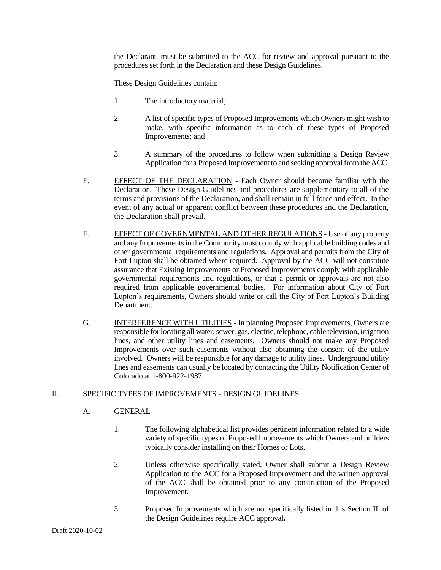the Declarant, must be submitted to the ACC for review and approval pursuant to the procedures set forth in the Declaration and these Design Guidelines.

These Design Guidelines contain:

- 1. The introductory material;
- 2. A list of specific types of Proposed Improvements which Owners might wish to make, with specific information as to each of these types of Proposed Improvements; and
- 3. A summary of the procedures to follow when submitting a Design Review Application for a Proposed Improvement to and seeking approval from the ACC.
- E. EFFECT OF THE DECLARATION Each Owner should become familiar with the Declaration. These Design Guidelines and procedures are supplementary to all of the terms and provisions of the Declaration, and shall remain in full force and effect. In the event of any actual or apparent conflict between these procedures and the Declaration, the Declaration shall prevail.
- F. EFFECT OF GOVERNMENTAL AND OTHER REGULATIONS Use of any property and any Improvements in the Community must comply with applicable building codes and other governmental requirements and regulations. Approval and permits from the City of Fort Lupton shall be obtained where required. Approval by the ACC will not constitute assurance that Existing Improvements or Proposed Improvements comply with applicable governmental requirements and regulations, or that a permit or approvals are not also required from applicable governmental bodies. For information about City of Fort Lupton's requirements, Owners should write or call the City of Fort Lupton's Building Department.
- G. INTERFERENCE WITH UTILITIES In planning Proposed Improvements, Owners are responsible for locating all water, sewer, gas, electric, telephone, cable television, irrigation lines, and other utility lines and easements. Owners should not make any Proposed Improvements over such easements without also obtaining the consent of the utility involved. Owners will be responsible for any damage to utility lines. Underground utility lines and easements can usually be located by contacting the Utility Notification Center of Colorado at 1-800-922-1987.

# II. SPECIFIC TYPES OF IMPROVEMENTS - DESIGN GUIDELINES

### A. GENERAL

- 1. The following alphabetical list provides pertinent information related to a wide variety of specific types of Proposed Improvements which Owners and builders typically consider installing on their Homes or Lots.
- 2. Unless otherwise specifically stated, Owner shall submit a Design Review Application to the ACC for a Proposed Improvement and the written approval of the ACC shall be obtained prior to any construction of the Proposed Improvement.
- 3. Proposed Improvements which are not specifically listed in this Section II. of the Design Guidelines require ACC approval**.**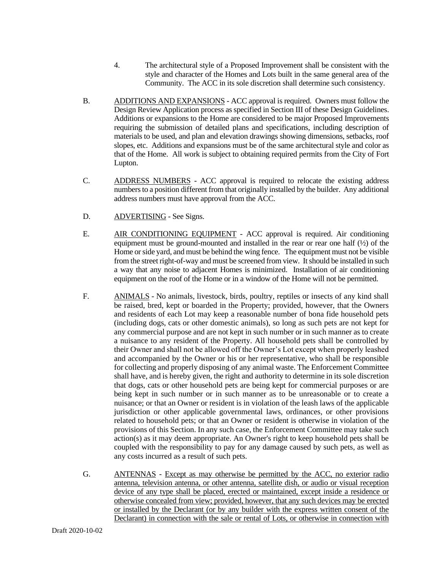- 4. The architectural style of a Proposed Improvement shall be consistent with the style and character of the Homes and Lots built in the same general area of the Community. The ACC in its sole discretion shall determine such consistency.
- B. ADDITIONS AND EXPANSIONS ACC approval is required. Owners must follow the Design Review Application process as specified in Section III of these Design Guidelines. Additions or expansions to the Home are considered to be major Proposed Improvements requiring the submission of detailed plans and specifications, including description of materials to be used, and plan and elevation drawings showing dimensions, setbacks, roof slopes, etc. Additions and expansions must be of the same architectural style and color as that of the Home. All work is subject to obtaining required permits from the City of Fort Lupton.
- C. ADDRESS NUMBERS ACC approval is required to relocate the existing address numbers to a position different from that originally installed by the builder. Any additional address numbers must have approval from the ACC.
- D. ADVERTISING See Signs.
- E. AIR CONDITIONING EQUIPMENT ACC approval is required. Air conditioning equipment must be ground-mounted and installed in the rear or rear one half  $(½)$  of the Home or side yard, and must be behind the wing fence. The equipment must not be visible from the street right-of-way and must be screened from view. It should be installed in such a way that any noise to adjacent Homes is minimized. Installation of air conditioning equipment on the roof of the Home or in a window of the Home will not be permitted.
- F. ANIMALS No animals, livestock, birds, poultry, reptiles or insects of any kind shall be raised, bred, kept or boarded in the Property; provided, however, that the Owners and residents of each Lot may keep a reasonable number of bona fide household pets (including dogs, cats or other domestic animals), so long as such pets are not kept for any commercial purpose and are not kept in such number or in such manner as to create a nuisance to any resident of the Property. All household pets shall be controlled by their Owner and shall not be allowed off the Owner's Lot except when properly leashed and accompanied by the Owner or his or her representative, who shall be responsible for collecting and properly disposing of any animal waste. The Enforcement Committee shall have, and is hereby given, the right and authority to determine in its sole discretion that dogs, cats or other household pets are being kept for commercial purposes or are being kept in such number or in such manner as to be unreasonable or to create a nuisance; or that an Owner or resident is in violation of the leash laws of the applicable jurisdiction or other applicable governmental laws, ordinances, or other provisions related to household pets; or that an Owner or resident is otherwise in violation of the provisions of this Section. In any such case, the Enforcement Committee may take such action(s) as it may deem appropriate. An Owner's right to keep household pets shall be coupled with the responsibility to pay for any damage caused by such pets, as well as any costs incurred as a result of such pets.
- G. ANTENNAS Except as may otherwise be permitted by the ACC, no exterior radio antenna, television antenna, or other antenna, satellite dish, or audio or visual reception device of any type shall be placed, erected or maintained, except inside a residence or otherwise concealed from view; provided, however, that any such devices may be erected or installed by the Declarant (or by any builder with the express written consent of the Declarant) in connection with the sale or rental of Lots, or otherwise in connection with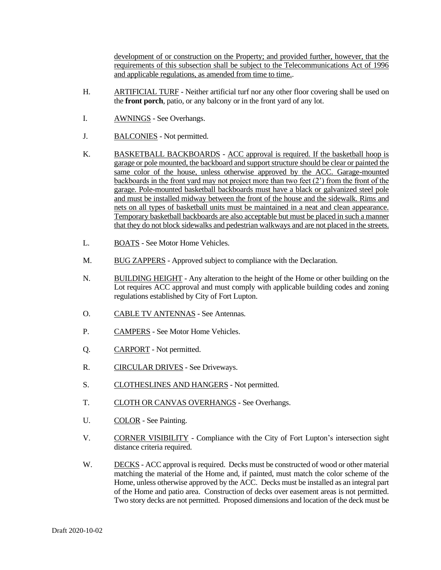development of or construction on the Property; and provided further, however, that the requirements of this subsection shall be subject to the Telecommunications Act of 1996 and applicable regulations, as amended from time to time..

- H. ARTIFICIAL TURF Neither artificial turf nor any other floor covering shall be used on the **front porch**, patio, or any balcony or in the front yard of any lot.
- I. **AWNINGS** See Overhangs.
- J. BALCONIES Not permitted.
- K. BASKETBALL BACKBOARDS ACC approval is required. If the basketball hoop is garage or pole mounted, the backboard and support structure should be clear or painted the same color of the house, unless otherwise approved by the ACC. Garage-mounted backboards in the front yard may not project more than two feet (2') from the front of the garage. Pole-mounted basketball backboards must have a black or galvanized steel pole and must be installed midway between the front of the house and the sidewalk. Rims and nets on all types of basketball units must be maintained in a neat and clean appearance. Temporary basketball backboards are also acceptable but must be placed in such a manner that they do not block sidewalks and pedestrian walkways and are not placed in the streets.
- L. BOATS See Motor Home Vehicles.
- M. BUG ZAPPERS Approved subject to compliance with the Declaration.
- N. BUILDING HEIGHT Any alteration to the height of the Home or other building on the Lot requires ACC approval and must comply with applicable building codes and zoning regulations established by City of Fort Lupton.
- O. CABLE TV ANTENNAS See Antennas.
- P. CAMPERS See Motor Home Vehicles.
- Q. CARPORT Not permitted.
- R. CIRCULAR DRIVES See Driveways.
- S. CLOTHESLINES AND HANGERS Not permitted.
- T. CLOTH OR CANVAS OVERHANGS See Overhangs.
- U. COLOR See Painting.
- V. CORNER VISIBILITY Compliance with the City of Fort Lupton's intersection sight distance criteria required.
- W. DECKS ACC approval is required. Decks must be constructed of wood or other material matching the material of the Home and, if painted, must match the color scheme of the Home, unless otherwise approved by the ACC. Decks must be installed as an integral part of the Home and patio area. Construction of decks over easement areas is not permitted. Two story decks are not permitted. Proposed dimensions and location of the deck must be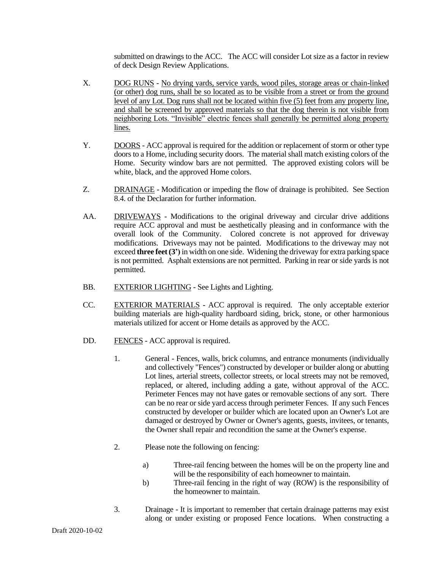submitted on drawings to the ACC. The ACC will consider Lot size as a factor in review of deck Design Review Applications.

- X. DOG RUNS No drying yards, service yards, wood piles, storage areas or chain-linked (or other) dog runs, shall be so located as to be visible from a street or from the ground level of any Lot. Dog runs shall not be located within five (5) feet from any property line, and shall be screened by approved materials so that the dog therein is not visible from neighboring Lots. "Invisible" electric fences shall generally be permitted along property lines.
- Y. DOORS ACC approval is required for the addition or replacement of storm or other type doors to a Home, including security doors. The material shall match existing colors of the Home. Security window bars are not permitted. The approved existing colors will be white, black, and the approved Home colors.
- Z. DRAINAGE Modification or impeding the flow of drainage is prohibited. See Section 8.4. of the Declaration for further information.
- AA. DRIVEWAYS Modifications to the original driveway and circular drive additions require ACC approval and must be aesthetically pleasing and in conformance with the overall look of the Community. Colored concrete is not approved for driveway modifications. Driveways may not be painted. Modifications to the driveway may not exceed **three feet (3')** in width on one side. Widening the driveway for extra parking space is not permitted. Asphalt extensions are not permitted. Parking in rear or side yards is not permitted.
- BB. EXTERIOR LIGHTING See Lights and Lighting.
- CC. EXTERIOR MATERIALS ACC approval is required. The only acceptable exterior building materials are high-quality hardboard siding, brick, stone, or other harmonious materials utilized for accent or Home details as approved by the ACC.
- DD. FENCES ACC approval is required.
	- 1. General Fences, walls, brick columns, and entrance monuments (individually and collectively "Fences") constructed by developer or builder along or abutting Lot lines, arterial streets, collector streets, or local streets may not be removed, replaced, or altered, including adding a gate, without approval of the ACC. Perimeter Fences may not have gates or removable sections of any sort. There can be no rear or side yard access through perimeter Fences. If any such Fences constructed by developer or builder which are located upon an Owner's Lot are damaged or destroyed by Owner or Owner's agents, guests, invitees, or tenants, the Owner shall repair and recondition the same at the Owner's expense.
	- 2. Please note the following on fencing:
		- a) Three-rail fencing between the homes will be on the property line and will be the responsibility of each homeowner to maintain.
		- b) Three-rail fencing in the right of way (ROW) is the responsibility of the homeowner to maintain.
	- 3. Drainage It is important to remember that certain drainage patterns may exist along or under existing or proposed Fence locations. When constructing a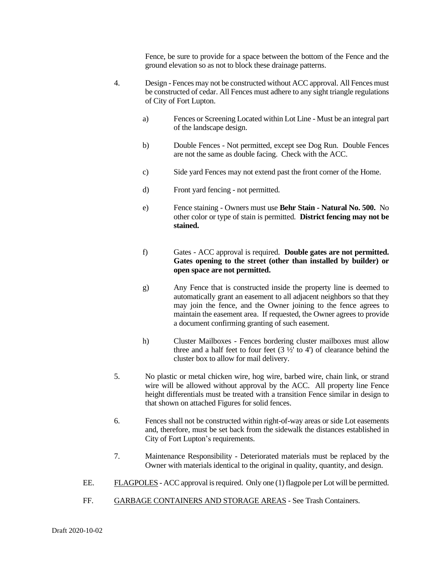Fence, be sure to provide for a space between the bottom of the Fence and the ground elevation so as not to block these drainage patterns.

- 4. Design Fences may not be constructed without ACC approval. All Fences must be constructed of cedar. All Fences must adhere to any sight triangle regulations of City of Fort Lupton.
	- a) Fences or Screening Located within Lot Line Must be an integral part of the landscape design.
	- b) Double Fences Not permitted, except see Dog Run. Double Fences are not the same as double facing. Check with the ACC.
	- c) Side yard Fences may not extend past the front corner of the Home.
	- d) Front yard fencing not permitted.
	- e) Fence staining Owners must use **Behr Stain - Natural No. 500.** No other color or type of stain is permitted. **District fencing may not be stained.**
	- f) Gates ACC approval is required. **Double gates are not permitted. Gates opening to the street (other than installed by builder) or open space are not permitted.**
	- g) Any Fence that is constructed inside the property line is deemed to automatically grant an easement to all adjacent neighbors so that they may join the fence, and the Owner joining to the fence agrees to maintain the easement area. If requested, the Owner agrees to provide a document confirming granting of such easement.
	- h) Cluster Mailboxes Fences bordering cluster mailboxes must allow three and a half feet to four feet  $(3 \frac{1}{2})$  to 4') of clearance behind the cluster box to allow for mail delivery.
- 5. No plastic or metal chicken wire, hog wire, barbed wire, chain link, or strand wire will be allowed without approval by the ACC. All property line Fence height differentials must be treated with a transition Fence similar in design to that shown on attached Figures for solid fences.
- 6. Fences shall not be constructed within right-of-way areas or side Lot easements and, therefore, must be set back from the sidewalk the distances established in City of Fort Lupton's requirements.
- 7. Maintenance Responsibility Deteriorated materials must be replaced by the Owner with materials identical to the original in quality, quantity, and design.
- EE. FLAGPOLES ACC approval is required. Only one (1) flagpole per Lot will be permitted.
- FF. GARBAGE CONTAINERS AND STORAGE AREAS See Trash Containers.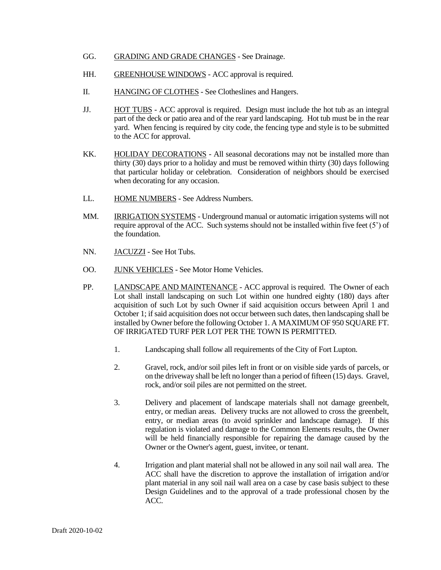- GG. GRADING AND GRADE CHANGES See Drainage.
- HH. GREENHOUSE WINDOWS ACC approval is required.
- II. HANGING OF CLOTHES See Clotheslines and Hangers.
- JJ. HOT TUBS ACC approval is required. Design must include the hot tub as an integral part of the deck or patio area and of the rear yard landscaping. Hot tub must be in the rear yard. When fencing is required by city code, the fencing type and style is to be submitted to the ACC for approval.
- KK. HOLIDAY DECORATIONS All seasonal decorations may not be installed more than thirty (30) days prior to a holiday and must be removed within thirty (30) days following that particular holiday or celebration. Consideration of neighbors should be exercised when decorating for any occasion.
- LL. HOME NUMBERS See Address Numbers.
- MM. IRRIGATION SYSTEMS Underground manual or automatic irrigation systems will not require approval of the ACC. Such systems should not be installed within five feet (5') of the foundation.
- NN. JACUZZI See Hot Tubs.
- OO. JUNK VEHICLES See Motor Home Vehicles.
- PP. LANDSCAPE AND MAINTENANCE ACC approval is required. The Owner of each Lot shall install landscaping on such Lot within one hundred eighty (180) days after acquisition of such Lot by such Owner if said acquisition occurs between April 1 and October 1; if said acquisition does not occur between such dates, then landscaping shall be installed by Owner before the following October 1. A MAXIMUM OF 950 SQUARE FT. OF IRRIGATED TURF PER LOT PER THE TOWN IS PERMITTED.
	- 1. Landscaping shall follow all requirements of the City of Fort Lupton.
	- 2. Gravel, rock, and/or soil piles left in front or on visible side yards of parcels, or on the driveway shall be left no longer than a period of fifteen (15) days. Gravel, rock, and/or soil piles are not permitted on the street.
	- 3. Delivery and placement of landscape materials shall not damage greenbelt, entry, or median areas. Delivery trucks are not allowed to cross the greenbelt, entry, or median areas (to avoid sprinkler and landscape damage). If this regulation is violated and damage to the Common Elements results, the Owner will be held financially responsible for repairing the damage caused by the Owner or the Owner's agent, guest, invitee, or tenant.
	- 4. Irrigation and plant material shall not be allowed in any soil nail wall area. The ACC shall have the discretion to approve the installation of irrigation and/or plant material in any soil nail wall area on a case by case basis subject to these Design Guidelines and to the approval of a trade professional chosen by the ACC.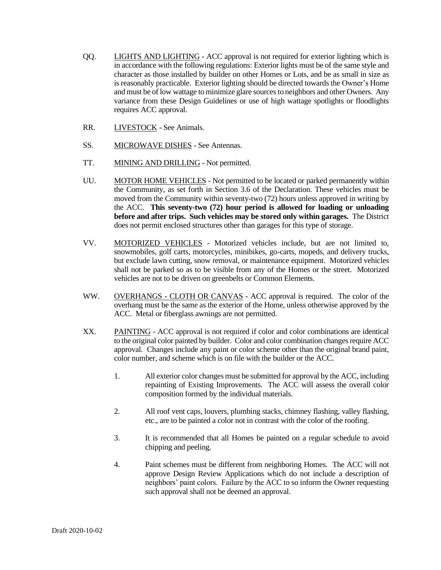- QQ. LIGHTS AND LIGHTING ACC approval is not required for exterior lighting which is in accordance with the following regulations: Exterior lights must be of the same style and character as those installed by builder on other Homes or Lots, and be as small in size as is reasonably practicable. Exterior lighting should be directed towards the Owner's Home and must be of low wattage to minimize glare sources to neighbors and other Owners. Any variance from these Design Guidelines or use of high wattage spotlights or floodlights requires ACC approval.
- RR. LIVESTOCK See Animals.
- SS. MICROWAVE DISHES See Antennas.
- TT. MINING AND DRILLING Not permitted.
- UU. MOTOR HOME VEHICLES Not permitted to be located or parked permanently within the Community, as set forth in Section 3.6 of the Declaration. These vehicles must be moved from the Community within seventy-two (72) hours unless approved in writing by the ACC. **This seventy-two (72) hour period is allowed for loading or unloading before and after trips. Such vehicles may be stored only within garages.** The District does not permit enclosed structures other than garages for this type of storage.
- VV. MOTORIZED VEHICLES Motorized vehicles include, but are not limited to, snowmobiles, golf carts, motorcycles, minibikes, go-carts, mopeds, and delivery trucks, but exclude lawn cutting, snow removal, or maintenance equipment. Motorized vehicles shall not be parked so as to be visible from any of the Homes or the street. Motorized vehicles are not to be driven on greenbelts or Common Elements.
- WW. OVERHANGS CLOTH OR CANVAS ACC approval is required. The color of the overhang must be the same as the exterior of the Home, unless otherwise approved by the ACC. Metal or fiberglass awnings are not permitted.
- XX. PAINTING ACC approval is not required if color and color combinations are identical to the original color painted by builder. Color and color combination changes require ACC approval. Changes include any paint or color scheme other than the original brand paint, color number, and scheme which is on file with the builder or the ACC.
	- 1. All exterior color changes must be submitted for approval by the ACC, including repainting of Existing Improvements. The ACC will assess the overall color composition formed by the individual materials.
	- 2. All roof vent caps, louvers, plumbing stacks, chimney flashing, valley flashing, etc., are to be painted a color not in contrast with the color of the roofing.
	- 3. It is recommended that all Homes be painted on a regular schedule to avoid chipping and peeling.
	- 4. Paint schemes must be different from neighboring Homes. The ACC will not approve Design Review Applications which do not include a description of neighbors' paint colors. Failure by the ACC to so inform the Owner requesting such approval shall not be deemed an approval.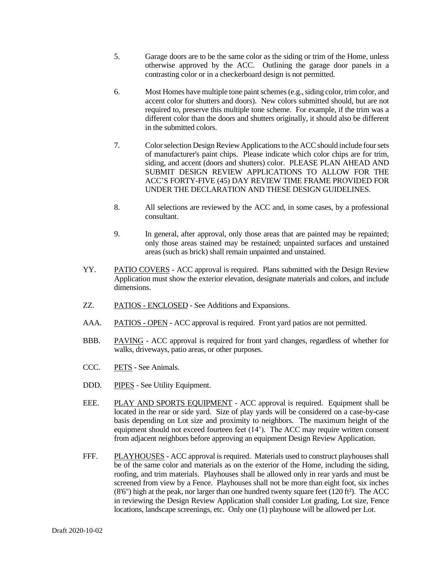- 5. Garage doors are to be the same color as the siding or trim of the Home, unless otherwise approved by the ACC. Outlining the garage door panels in a contrasting color or in a checkerboard design is not permitted.
- 6. Most Homes have multiple tone paint schemes (e.g., siding color, trim color, and accent color for shutters and doors). New colors submitted should, but are not required to, preserve this multiple tone scheme. For example, if the trim was a different color than the doors and shutters originally, it should also be different in the submitted colors.
- 7. Color selection Design Review Applications to the ACCshould include four sets of manufacturer's paint chips. Please indicate which color chips are for trim, siding, and accent (doors and shutters) color. PLEASE PLAN AHEAD AND SUBMIT DESIGN REVIEW APPLICATIONS TO ALLOW FOR THE ACC'S FORTY-FIVE (45) DAY REVIEW TIME FRAME PROVIDED FOR UNDER THE DECLARATION AND THESE DESIGN GUIDELINES.
- 8. All selections are reviewed by the ACC and, in some cases, by a professional consultant.
- 9. In general, after approval, only those areas that are painted may be repainted; only those areas stained may be restained; unpainted surfaces and unstained areas (such as brick) shall remain unpainted and unstained.
- YY. PATIO COVERS ACC approval is required. Plans submitted with the Design Review Application must show the exterior elevation, designate materials and colors, and include dimensions.
- ZZ. PATIOS ENCLOSED See Additions and Expansions.
- AAA. PATIOS OPEN ACC approval is required. Front yard patios are not permitted.
- BBB. PAVING ACC approval is required for front yard changes, regardless of whether for walks, driveways, patio areas, or other purposes.
- CCC. PETS See Animals.
- DDD. PIPES See Utility Equipment.
- EEE. PLAY AND SPORTS EQUIPMENT ACC approval is required. Equipment shall be located in the rear or side yard. Size of play yards will be considered on a case-by-case basis depending on Lot size and proximity to neighbors. The maximum height of the equipment should not exceed fourteen feet (14'). The ACC may require written consent from adjacent neighbors before approving an equipment Design Review Application.
- FFF. PLAYHOUSES ACC approval is required. Materials used to construct playhouses shall be of the same color and materials as on the exterior of the Home, including the siding, roofing, and trim materials. Playhouses shall be allowed only in rear yards and must be screened from view by a Fence. Playhouses shall not be more than eight foot, six inches  $(8'6'')$  high at the peak, nor larger than one hundred twenty square feet  $(120 ft<sup>2</sup>)$ . The ACC in reviewing the Design Review Application shall consider Lot grading, Lot size, Fence locations, landscape screenings, etc. Only one (1) playhouse will be allowed per Lot.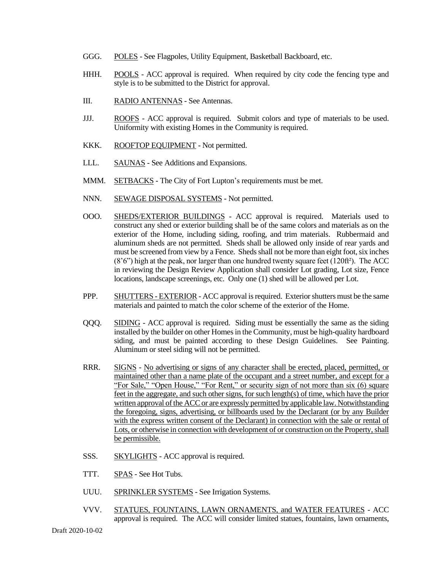- GGG. POLES See Flagpoles, Utility Equipment, Basketball Backboard, etc.
- HHH. POOLS ACC approval is required. When required by city code the fencing type and style is to be submitted to the District for approval.
- III. RADIO ANTENNAS See Antennas.
- JJJ. ROOFS ACC approval is required. Submit colors and type of materials to be used. Uniformity with existing Homes in the Community is required.
- KKK. ROOFTOP EQUIPMENT Not permitted.
- LLL. SAUNAS See Additions and Expansions.
- MMM. SETBACKS The City of Fort Lupton's requirements must be met.
- NNN. SEWAGE DISPOSAL SYSTEMS Not permitted.
- OOO. SHEDS/EXTERIOR BUILDINGS ACC approval is required. Materials used to construct any shed or exterior building shall be of the same colors and materials as on the exterior of the Home, including siding, roofing, and trim materials. Rubbermaid and aluminum sheds are not permitted. Sheds shall be allowed only inside of rear yards and must be screened from view by a Fence. Sheds shall not be more than eight foot, six inches (8'6") high at the peak, nor larger than one hundred twenty square feet (120ft²). The ACC in reviewing the Design Review Application shall consider Lot grading, Lot size, Fence locations, landscape screenings, etc. Only one (1) shed will be allowed per Lot.
- PPP. SHUTTERS EXTERIOR ACC approval is required. Exterior shutters must be the same materials and painted to match the color scheme of the exterior of the Home.
- QQQ. SIDING ACC approval is required. Siding must be essentially the same as the siding installed by the builder on other Homes in the Community, must be high-quality hardboard siding, and must be painted according to these Design Guidelines. See Painting. Aluminum or steel siding will not be permitted.
- RRR. SIGNS No advertising or signs of any character shall be erected, placed, permitted, or maintained other than a name plate of the occupant and a street number, and except for a "For Sale," "Open House," "For Rent," or security sign of not more than six (6) square feet in the aggregate, and such other signs, for such length(s) of time, which have the prior written approval of the ACC or are expressly permitted by applicable law. Notwithstanding the foregoing, signs, advertising, or billboards used by the Declarant (or by any Builder with the express written consent of the Declarant) in connection with the sale or rental of Lots, or otherwise in connection with development of or construction on the Property, shall be permissible.
- SSS. SKYLIGHTS ACC approval is required.
- TTT. SPAS See Hot Tubs.
- UUU. SPRINKLER SYSTEMS See Irrigation Systems.
- VVV. STATUES, FOUNTAINS, LAWN ORNAMENTS, and WATER FEATURES ACC approval is required. The ACC will consider limited statues, fountains, lawn ornaments,

Draft 2020-10-02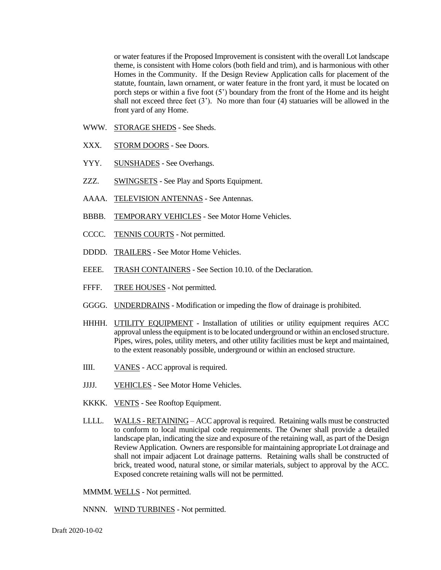or water features if the Proposed Improvement is consistent with the overall Lot landscape theme, is consistent with Home colors (both field and trim), and is harmonious with other Homes in the Community. If the Design Review Application calls for placement of the statute, fountain, lawn ornament, or water feature in the front yard, it must be located on porch steps or within a five foot (5') boundary from the front of the Home and its height shall not exceed three feet (3'). No more than four (4) statuaries will be allowed in the front yard of any Home.

- WWW. STORAGE SHEDS See Sheds.
- XXX. STORM DOORS See Doors.
- YYY. SUNSHADES See Overhangs.
- ZZZ. SWINGSETS See Play and Sports Equipment.
- AAAA. TELEVISION ANTENNAS See Antennas.
- BBBB. TEMPORARY VEHICLES See Motor Home Vehicles.
- CCCC. TENNIS COURTS Not permitted.
- DDDD. TRAILERS See Motor Home Vehicles.
- EEEE. TRASH CONTAINERS See Section 10.10. of the Declaration.
- FFFF. TREE HOUSES Not permitted.
- GGGG. UNDERDRAINS Modification or impeding the flow of drainage is prohibited.
- HHHH. UTILITY EQUIPMENT Installation of utilities or utility equipment requires ACC approval unless the equipment is to be located underground or within an enclosed structure. Pipes, wires, poles, utility meters, and other utility facilities must be kept and maintained, to the extent reasonably possible, underground or within an enclosed structure.
- IIII. VANES ACC approval is required.
- JJJJ. VEHICLES See Motor Home Vehicles.
- KKKK. VENTS See Rooftop Equipment.
- LLLL. WALLS RETAINING ACC approval is required. Retaining walls must be constructed to conform to local municipal code requirements. The Owner shall provide a detailed landscape plan, indicating the size and exposure of the retaining wall, as part of the Design Review Application. Owners are responsible for maintaining appropriate Lot drainage and shall not impair adjacent Lot drainage patterns. Retaining walls shall be constructed of brick, treated wood, natural stone, or similar materials, subject to approval by the ACC. Exposed concrete retaining walls will not be permitted.
- MMMM. WELLS Not permitted.
- NNNN. WIND TURBINES Not permitted.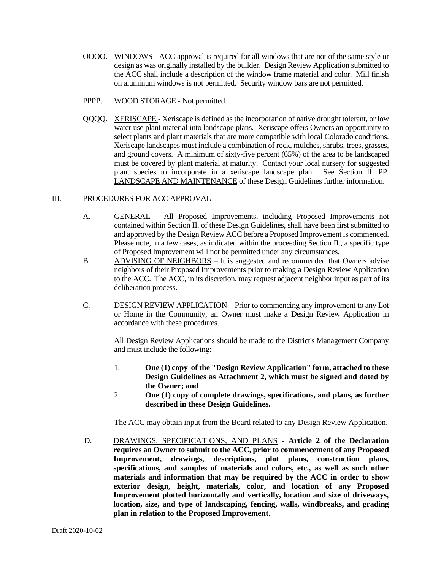- OOOO. WINDOWS ACC approval is required for all windows that are not of the same style or design as was originally installed by the builder. Design Review Application submitted to the ACC shall include a description of the window frame material and color. Mill finish on aluminum windows is not permitted. Security window bars are not permitted.
- PPPP. WOOD STORAGE Not permitted.
- QQQQ. XERISCAPE Xeriscape is defined as the incorporation of native drought tolerant, or low water use plant material into landscape plans. Xeriscape offers Owners an opportunity to select plants and plant materials that are more compatible with local Colorado conditions. Xeriscape landscapes must include a combination of rock, mulches, shrubs, trees, grasses, and ground covers. A minimum of sixty-five percent (65%) of the area to be landscaped must be covered by plant material at maturity. Contact your local nursery for suggested plant species to incorporate in a xeriscape landscape plan. See Section II. PP. LANDSCAPE AND MAINTENANCE of these Design Guidelines further information.

#### III. PROCEDURES FOR ACC APPROVAL

- A. GENERAL All Proposed Improvements, including Proposed Improvements not contained within Section II. of these Design Guidelines, shall have been first submitted to and approved by the Design Review ACC before a Proposed Improvement is commenced. Please note, in a few cases, as indicated within the proceeding Section II., a specific type of Proposed Improvement will not be permitted under any circumstances.
- B. ADVISING OF NEIGHBORS It is suggested and recommended that Owners advise neighbors of their Proposed Improvements prior to making a Design Review Application to the ACC. The ACC, in its discretion, may request adjacent neighbor input as part of its deliberation process.
- C. DESIGN REVIEW APPLICATION Prior to commencing any improvement to any Lot or Home in the Community, an Owner must make a Design Review Application in accordance with these procedures.

All Design Review Applications should be made to the District's Management Company and must include the following:

- 1. **One (1) copy of the "Design Review Application" form, attached to these Design Guidelines as Attachment 2, which must be signed and dated by the Owner; and**
- 2. **One (1) copy of complete drawings, specifications, and plans, as further described in these Design Guidelines.**

The ACC may obtain input from the Board related to any Design Review Application.

D. DRAWINGS, SPECIFICATIONS, AND PLANS - **Article 2 of the Declaration requires an Owner to submit to the ACC, prior to commencement of any Proposed Improvement, drawings, descriptions, plot plans, construction plans, specifications, and samples of materials and colors, etc., as well as such other materials and information that may be required by the ACC in order to show exterior design, height, materials, color, and location of any Proposed Improvement plotted horizontally and vertically, location and size of driveways, location, size, and type of landscaping, fencing, walls, windbreaks, and grading plan in relation to the Proposed Improvement.**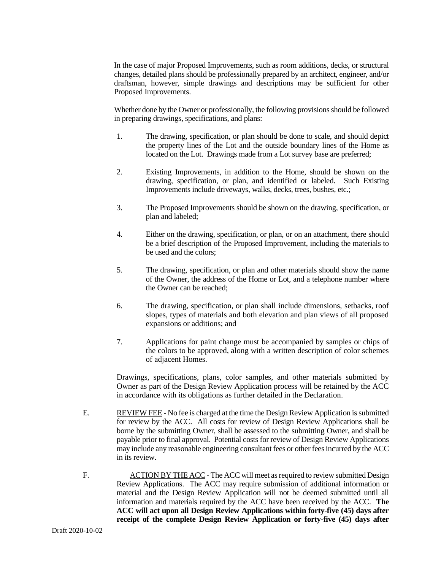In the case of major Proposed Improvements, such as room additions, decks, or structural changes, detailed plans should be professionally prepared by an architect, engineer, and/or draftsman, however, simple drawings and descriptions may be sufficient for other Proposed Improvements.

Whether done by the Owner or professionally, the following provisions should be followed in preparing drawings, specifications, and plans:

- 1. The drawing, specification, or plan should be done to scale, and should depict the property lines of the Lot and the outside boundary lines of the Home as located on the Lot. Drawings made from a Lot survey base are preferred;
- 2. Existing Improvements, in addition to the Home, should be shown on the drawing, specification, or plan, and identified or labeled. Such Existing Improvements include driveways, walks, decks, trees, bushes, etc.;
- 3. The Proposed Improvements should be shown on the drawing, specification, or plan and labeled;
- 4. Either on the drawing, specification, or plan, or on an attachment, there should be a brief description of the Proposed Improvement, including the materials to be used and the colors;
- 5. The drawing, specification, or plan and other materials should show the name of the Owner, the address of the Home or Lot, and a telephone number where the Owner can be reached;
- 6. The drawing, specification, or plan shall include dimensions, setbacks, roof slopes, types of materials and both elevation and plan views of all proposed expansions or additions; and
- 7. Applications for paint change must be accompanied by samples or chips of the colors to be approved, along with a written description of color schemes of adjacent Homes.

Drawings, specifications, plans, color samples, and other materials submitted by Owner as part of the Design Review Application process will be retained by the ACC in accordance with its obligations as further detailed in the Declaration.

- E. REVIEW FEE No fee is charged at the time the Design Review Application is submitted for review by the ACC. All costs for review of Design Review Applications shall be borne by the submitting Owner, shall be assessed to the submitting Owner, and shall be payable prior to final approval. Potential costs for review of Design Review Applications may include any reasonable engineering consultant fees or other fees incurred by the ACC in its review.
- F. ACTION BY THE ACC The ACC will meet as required to review submitted Design Review Applications. The ACC may require submission of additional information or material and the Design Review Application will not be deemed submitted until all information and materials required by the ACC have been received by the ACC. **The ACC will act upon all Design Review Applications within forty-five (45) days after receipt of the complete Design Review Application or forty-five (45) days after**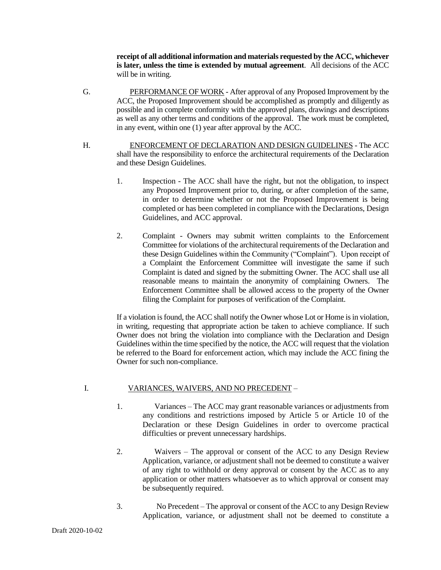**receipt of all additional information and materials requested by the ACC, whichever is later, unless the time is extended by mutual agreement**. All decisions of the ACC will be in writing.

- G. PERFORMANCE OF WORK After approval of any Proposed Improvement by the ACC, the Proposed Improvement should be accomplished as promptly and diligently as possible and in complete conformity with the approved plans, drawings and descriptions as well as any other terms and conditions of the approval. The work must be completed, in any event, within one (1) year after approval by the ACC.
- H. ENFORCEMENT OF DECLARATION AND DESIGN GUIDELINES The ACC shall have the responsibility to enforce the architectural requirements of the Declaration and these Design Guidelines.
	- 1. Inspection The ACC shall have the right, but not the obligation, to inspect any Proposed Improvement prior to, during, or after completion of the same, in order to determine whether or not the Proposed Improvement is being completed or has been completed in compliance with the Declarations, Design Guidelines, and ACC approval.
	- 2. Complaint Owners may submit written complaints to the Enforcement Committee for violations of the architectural requirements of the Declaration and these Design Guidelines within the Community ("Complaint"). Upon receipt of a Complaint the Enforcement Committee will investigate the same if such Complaint is dated and signed by the submitting Owner. The ACC shall use all reasonable means to maintain the anonymity of complaining Owners. The Enforcement Committee shall be allowed access to the property of the Owner filing the Complaint for purposes of verification of the Complaint.

If a violation is found, the ACC shall notify the Owner whose Lot or Home is in violation, in writing, requesting that appropriate action be taken to achieve compliance. If such Owner does not bring the violation into compliance with the Declaration and Design Guidelines within the time specified by the notice, the ACC will request that the violation be referred to the Board for enforcement action, which may include the ACC fining the Owner for such non-compliance.

# I. VARIANCES, WAIVERS, AND NO PRECEDENT –

- 1. Variances The ACC may grant reasonable variances or adjustments from any conditions and restrictions imposed by Article 5 or Article 10 of the Declaration or these Design Guidelines in order to overcome practical difficulties or prevent unnecessary hardships.
- 2. Waivers The approval or consent of the ACC to any Design Review Application, variance, or adjustment shall not be deemed to constitute a waiver of any right to withhold or deny approval or consent by the ACC as to any application or other matters whatsoever as to which approval or consent may be subsequently required.
- 3. No Precedent The approval or consent of the ACC to any Design Review Application, variance, or adjustment shall not be deemed to constitute a